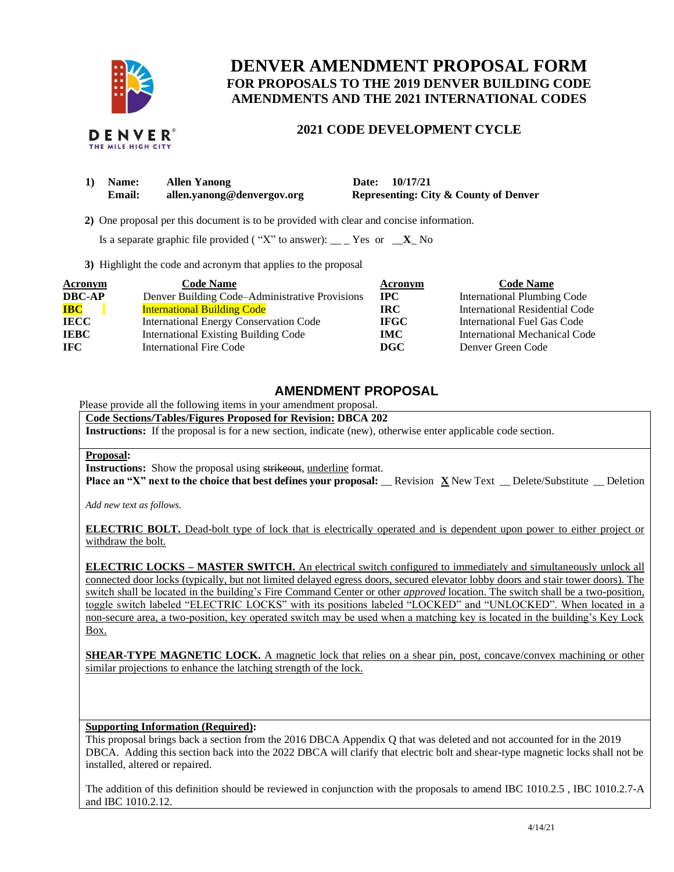

# **DENVER AMENDMENT PROPOSAL FORM FOR PROPOSALS TO THE 2019 DENVER BUILDING CODE AMENDMENTS AND THE 2021 INTERNATIONAL CODES**

### **2021 CODE DEVELOPMENT CYCLE**

| 1) Name: | <b>Allen Yanong</b>        | Date: 10/17/21                                   |
|----------|----------------------------|--------------------------------------------------|
| Email:   | allen.yanong@denvergov.org | <b>Representing: City &amp; County of Denver</b> |

 **2)** One proposal per this document is to be provided with clear and concise information.

Is a separate graphic file provided ("X" to answer): \_\_ \_ Yes or  $\mathbf{X}$  No

**3)** Highlight the code and acronym that applies to the proposal

| <b>Acronym</b> | <b>Code Name</b>                               | Acronym     | <b>Code Name</b>                   |
|----------------|------------------------------------------------|-------------|------------------------------------|
| <b>DBC-AP</b>  | Denver Building Code–Administrative Provisions | <b>IPC</b>  | <b>International Plumbing Code</b> |
| <b>IBC</b>     | <b>International Building Code</b>             | IRC.        | International Residential Code     |
| <b>IECC</b>    | <b>International Energy Conservation Code</b>  | <b>IFGC</b> | International Fuel Gas Code        |
| <b>IEBC</b>    | <b>International Existing Building Code</b>    | <b>IMC</b>  | International Mechanical Code      |
| <b>IFC</b>     | International Fire Code                        | <b>DGC</b>  | Denver Green Code                  |

## **AMENDMENT PROPOSAL**

Please provide all the following items in your amendment proposal.

**Code Sections/Tables/Figures Proposed for Revision: DBCA 202 Instructions:** If the proposal is for a new section, indicate (new), otherwise enter applicable code section.

#### **Proposal:**

**Instructions:** Show the proposal using strikeout, underline format.

**Place an "X" next to the choice that best defines your proposal:** \_\_ Revision **X** New Text \_\_ Delete/Substitute \_\_ Deletion

*Add new text as follows.*

**ELECTRIC BOLT.** Dead-bolt type of lock that is electrically operated and is dependent upon power to either project or withdraw the bolt.

**ELECTRIC LOCKS – MASTER SWITCH.** An electrical switch configured to immediately and simultaneously unlock all connected door locks (typically, but not limited delayed egress doors, secured elevator lobby doors and stair tower doors). The switch shall be located in the building's Fire Command Center or other *approved* location. The switch shall be a two-position, toggle switch labeled "ELECTRIC LOCKS" with its positions labeled "LOCKED" and "UNLOCKED". When located in a non-secure area, a two-position, key operated switch may be used when a matching key is located in the building's Key Lock Box.

**SHEAR-TYPE MAGNETIC LOCK.** A magnetic lock that relies on a shear pin, post, concave/convex machining or other similar projections to enhance the latching strength of the lock.

### **Supporting Information (Required):**

This proposal brings back a section from the 2016 DBCA Appendix Q that was deleted and not accounted for in the 2019 DBCA. Adding this section back into the 2022 DBCA will clarify that electric bolt and shear-type magnetic locks shall not be installed, altered or repaired.

The addition of this definition should be reviewed in conjunction with the proposals to amend IBC 1010.2.5 , IBC 1010.2.7-A and IBC 1010.2.12.